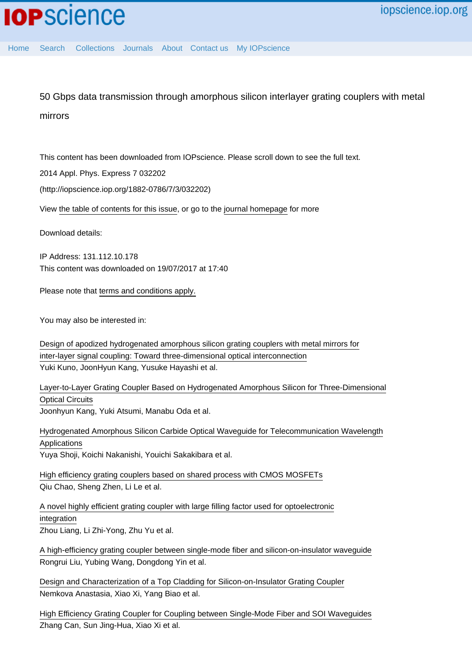50 Gbps data transmission through amorphous silicon interlayer grating couplers with metal mirrors

This content has been downloaded from IOPscience. Please scroll down to see the full text.

2014 Appl. Phys. Express 7 032202

(http://iopscience.iop.org/1882-0786/7/3/032202)

View [the table of contents for this issue](http://iopscience.iop.org/1882-0786/7/3), or go to the [journal homepage](http://iopscience.iop.org/1882-0786) for more

Download details:

IP Address: 131.112.10.178 This content was downloaded on 19/07/2017 at 17:40

Please note that [terms and conditions apply.](http://iopscience.iop.org/page/terms)

You may also be interested in:

[Design of apodized hydrogenated amorphous silicon grating couplers with metal mirrors for](http://iopscience.iop.org/article/10.7567/JJAP.54.04DG04) [inter-layer signal coupling: Toward three-dimensional optical interconnection](http://iopscience.iop.org/article/10.7567/JJAP.54.04DG04) Yuki Kuno, JoonHyun Kang, Yusuke Hayashi et al.

[Layer-to-Layer Grating Coupler Based on Hydrogenated Amorphous Silicon for Three-Dimensional](http://iopscience.iop.org/article/10.1143/JJAP.51.120203) [Optical Circuits](http://iopscience.iop.org/article/10.1143/JJAP.51.120203)

Joonhyun Kang, Yuki Atsumi, Manabu Oda et al.

[Hydrogenated Amorphous Silicon Carbide Optical Waveguide for Telecommunication Wavelength](http://iopscience.iop.org/article/10.1143/APEX.3.122201) [Applications](http://iopscience.iop.org/article/10.1143/APEX.3.122201) Yuya Shoji, Koichi Nakanishi, Youichi Sakakibara et al.

[High efficiency grating couplers based on shared process with CMOS MOSFETs](http://iopscience.iop.org/article/10.1088/1674-1056/22/2/024212) Qiu Chao, Sheng Zhen, Li Le et al.

[A novel highly efficient grating coupler with large filling factor used for optoelectronic](http://iopscience.iop.org/article/10.1088/1674-1056/19/12/124214) [integration](http://iopscience.iop.org/article/10.1088/1674-1056/19/12/124214) Zhou Liang, Li Zhi-Yong, Zhu Yu et al.

[A high-efficiency grating coupler between single-mode fiber and silicon-on-insulator waveguide](http://iopscience.iop.org/article/10.1088/1674-4926/38/5/054007) Rongrui Liu, Yubing Wang, Dongdong Yin et al.

[Design and Characterization of a Top Cladding for Silicon-on-Insulator Grating Coupler](http://iopscience.iop.org/article/10.1088/0256-307X/29/11/114213) Nemkova Anastasia, Xiao Xi, Yang Biao et al.

[High Efficiency Grating Coupler for Coupling between Single-Mode Fiber and SOI Waveguides](http://iopscience.iop.org/article/10.1088/0256-307X/30/1/014207) Zhang Can, Sun Jing-Hua, Xiao Xi et al.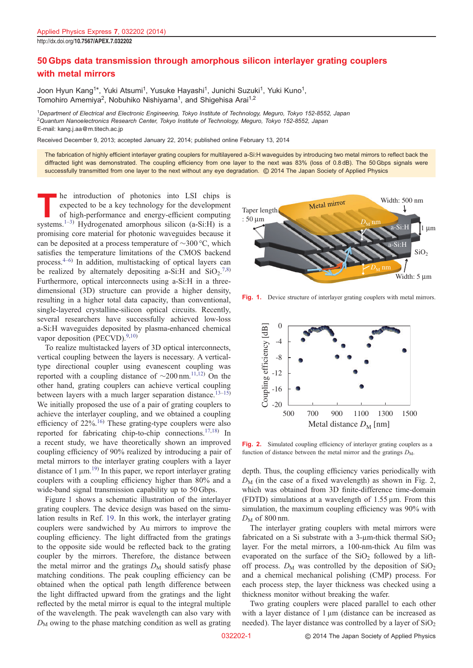## 50 Gbps data transmission through amorphous silicon interlayer grating couplers with metal mirrors

Joon Hyun Kang<sup>1\*</sup>, Yuki Atsumi<sup>1</sup>, Yusuke Hayashi<sup>1</sup>, Junichi Suzuki<sup>1</sup>, Yuki Kuno<sup>1</sup>, Tomohiro Amemiya<sup>2</sup>, Nobuhiko Nishiyama<sup>1</sup>, and Shigehisa Arai<sup>1,2</sup>

<sup>1</sup>Department of Electrical and Electronic Engineering, Tokyo Institute of Technology, Meguro, Tokyo 152-8552, Japan <sup>2</sup>Quantum Nanoelectronics Research Center, Tokyo Institute of Technology, Meguro, Tokyo 152-8552, Japan E-mail: kang.j.aa@m.titech.ac.jp

Received December 9, 2013; accepted January 22, 2014; published online February 13, 2014

The fabrication of highly efficient interlayer grating couplers for multilayered a-Si:H waveguides by introducing two metal mirrors to reflect back the diffracted light was demonstrated. The coupling efficiency from one layer to the next was 83% (loss of 0.8 dB). The 50 Gbps signals were successfully transmitted from one layer to the next without any eye degradation. © 2014 The Japan Society of Applied Physics

The introduction of photonics into LSI chips is<br>
of high-performance and energy-efficient computing<br>
systems <sup>1-3)</sup> Hydrogenated amorphous silicon (a Si-H) is a expected to be a key technology for the development systems.<sup>[1](#page-3-0)–[3](#page-3-0))</sup> Hydrogenated amorphous silicon (a-Si:H) is a promising core material for photonic waveguides because it can be deposited at a process temperature of  $\sim$ 300 °C, which satisfies the temperature limitations of the CMOS backend process.[4](#page-3-0)–[6](#page-3-0)) In addition, multistacking of optical layers can be realized by alternately depositing a-Si:H and  $SiO_2$ .<sup>[7](#page-3-0),[8](#page-3-0))</sup> Furthermore, optical interconnects using a-Si:H in a threedimensional (3D) structure can provide a higher density, resulting in a higher total data capacity, than conventional, single-layered crystalline-silicon optical circuits. Recently, several researchers have successfully achieved low-loss a-Si:H waveguides deposited by plasma-enhanced chemical vapor deposition (PECVD).<sup>[9,10](#page-3-0))</sup>

To realize multistacked layers of 3D optical interconnects, vertical coupling between the layers is necessary. A verticaltype directional coupler using evanescent coupling was reported with a coupling distance of  $\sim 200 \text{ nm}$ .<sup>[11,12](#page-3-0))</sup> On the other hand, grating couplers can achieve vertical coupling between layers with a much larger separation distance.<sup>[13](#page-3-0)–[15](#page-3-0))</sup> We initially proposed the use of a pair of grating couplers to achieve the interlayer coupling, and we obtained a coupling efficiency of  $22\%$ <sup>[16](#page-3-0))</sup> These grating-type couplers were also reported for fabricating chip-to-chip connections.<sup>[17,18\)](#page-3-0)</sup> In a recent study, we have theoretically shown an improved coupling efficiency of 90% realized by introducing a pair of metal mirrors to the interlayer grating couplers with a layer distance of  $1 \mu m$ <sup>[19](#page-3-0))</sup> In this paper, we report interlayer grating couplers with a coupling efficiency higher than 80% and a wide-band signal transmission capability up to 50 Gbps.

Figure 1 shows a schematic illustration of the interlayer grating couplers. The device design was based on the simulation results in Ref. [19.](#page-3-0) In this work, the interlayer grating couplers were sandwiched by Au mirrors to improve the coupling efficiency. The light diffracted from the gratings to the opposite side would be reflected back to the grating coupler by the mirrors. Therefore, the distance between the metal mirror and the gratings  $D_M$  should satisfy phase matching conditions. The peak coupling efficiency can be obtained when the optical path length difference between the light diffracted upward from the gratings and the light reflected by the metal mirror is equal to the integral multiple of the wavelength. The peak wavelength can also vary with  $D_M$  owing to the phase matching condition as well as grating



Fig. 1. Device structure of interlayer grating couplers with metal mirrors.



Fig. 2. Simulated coupling efficiency of interlayer grating couplers as a function of distance between the metal mirror and the gratings  $D_M$ .

depth. Thus, the coupling efficiency varies periodically with  $D_M$  (in the case of a fixed wavelength) as shown in Fig. 2, which was obtained from 3D finite-difference time-domain (FDTD) simulations at a wavelength of  $1.55 \mu m$ . From this simulation, the maximum coupling efficiency was 90% with  $D_M$  of 800 nm.

The interlayer grating couplers with metal mirrors were fabricated on a Si substrate with a 3-µm-thick thermal  $SiO<sub>2</sub>$ layer. For the metal mirrors, a 100-nm-thick Au film was evaporated on the surface of the  $SiO<sub>2</sub>$  followed by a liftoff process.  $D_M$  was controlled by the deposition of  $SiO_2$ and a chemical mechanical polishing (CMP) process. For each process step, the layer thickness was checked using a thickness monitor without breaking the wafer.

Two grating couplers were placed parallel to each other with a layer distance of  $1 \mu m$  (distance can be increased as needed). The layer distance was controlled by a layer of  $SiO<sub>2</sub>$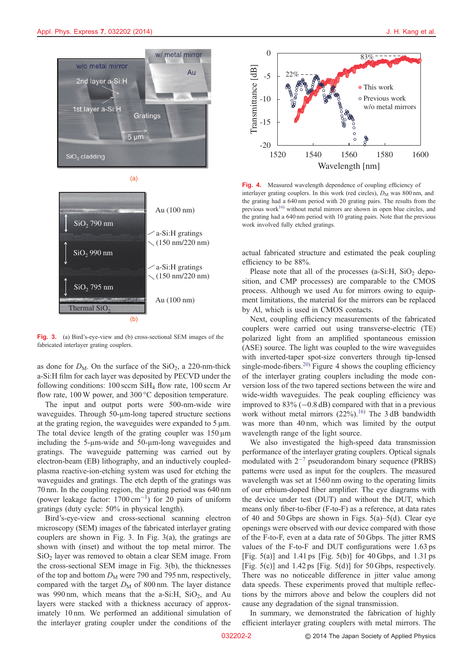

(a)



Fig. 3. (a) Bird's-eye-view and (b) cross-sectional SEM images of the fabricated interlayer grating couplers.

as done for  $D_M$ . On the surface of the SiO<sub>2</sub>, a 220-nm-thick a-Si:H film for each layer was deposited by PECVD under the following conditions: 100 sccm SiH4 flow rate, 100 sccm Ar flow rate, 100 W power, and 300 °C deposition temperature.

The input and output ports were 500-nm-wide wire waveguides. Through 50-µm-long tapered structure sections at the grating region, the waveguides were expanded to  $5 \mu m$ . The total device length of the grating coupler was  $150 \mu m$ including the 5-µm-wide and 50-µm-long waveguides and gratings. The waveguide patterning was carried out by electron-beam (EB) lithography, and an inductively coupledplasma reactive-ion-etching system was used for etching the waveguides and gratings. The etch depth of the gratings was 70 nm. In the coupling region, the grating period was 640 nm (power leakage factor:  $1700 \text{ cm}^{-1}$ ) for 20 pairs of uniform gratings (duty cycle: 50% in physical length).

Bird's-eye-view and cross-sectional scanning electron microscopy (SEM) images of the fabricated interlayer grating couplers are shown in Fig. 3. In Fig. 3(a), the gratings are shown with (inset) and without the top metal mirror. The  $SiO<sub>2</sub>$  layer was removed to obtain a clear SEM image. From the cross-sectional SEM image in Fig. 3(b), the thicknesses of the top and bottom  $D_M$  were 790 and 795 nm, respectively, compared with the target  $D_M$  of 800 nm. The layer distance was 990 nm, which means that the a-Si:H,  $SiO<sub>2</sub>$ , and Au layers were stacked with a thickness accuracy of approximately 10 nm. We performed an additional simulation of the interlayer grating coupler under the conditions of the



Fig. 4. Measured wavelength dependence of coupling efficiency of interlayer grating couplers. In this work (red circles),  $D_M$  was 800 nm, and the grating had a 640 nm period with 20 grating pairs. The results from the previous work $16$ ) without metal mirrors are shown in open blue circles, and the grating had a 640 nm period with 10 grating pairs. Note that the previous work involved fully etched gratings.

actual fabricated structure and estimated the peak coupling efficiency to be 88%.

Please note that all of the processes (a-Si:H,  $SiO<sub>2</sub>$  deposition, and CMP processes) are comparable to the CMOS process. Although we used Au for mirrors owing to equipment limitations, the material for the mirrors can be replaced by Al, which is used in CMOS contacts.

Next, coupling efficiency measurements of the fabricated couplers were carried out using transverse-electric (TE) polarized light from an amplified spontaneous emission (ASE) source. The light was coupled to the wire waveguides with inverted-taper spot-size converters through tip-lensed single-mode-fibers.<sup>[20](#page-3-0))</sup> Figure 4 shows the coupling efficiency of the interlayer grating couplers including the mode conversion loss of the two tapered sections between the wire and wide-width waveguides. The peak coupling efficiency was improved to  $83\%$  ( $-0.8$  dB) compared with that in a previous work without metal mirrors  $(22\%)$ .<sup>[16\)](#page-3-0)</sup> The 3 dB bandwidth was more than 40 nm, which was limited by the output wavelength range of the light source.

We also investigated the high-speed data transmission performance of the interlayer grating couplers. Optical signals modulated with  $2^{-7}$  pseudorandom binary sequence (PRBS) patterns were used as input for the couplers. The measured wavelength was set at 1560 nm owing to the operating limits of our erbium-doped fiber amplifier. The eye diagrams with the device under test (DUT) and without the DUT, which means only fiber-to-fiber (F-to-F) as a reference, at data rates of 40 and [5](#page-3-0)0 Gbps are shown in Figs.  $5(a)$ – $5(d)$ . Clear eye openings were observed with our device compared with those of the F-to-F, even at a data rate of 50 Gbps. The jitter RMS values of the F-to-F and DUT configurations were 1.63 ps [Fig. [5](#page-3-0)(a)] and 1.41 ps [Fig. 5(b)] for 40 Gbps, and 1.31 ps [Fig.  $5(c)$ ] and 1.42 ps [Fig.  $5(d)$ ] for  $50$  Gbps, respectively. There was no noticeable difference in jitter value among data speeds. These experiments proved that multiple reflections by the mirrors above and below the couplers did not cause any degradation of the signal transmission.

In summary, we demonstrated the fabrication of highly efficient interlayer grating couplers with metal mirrors. The